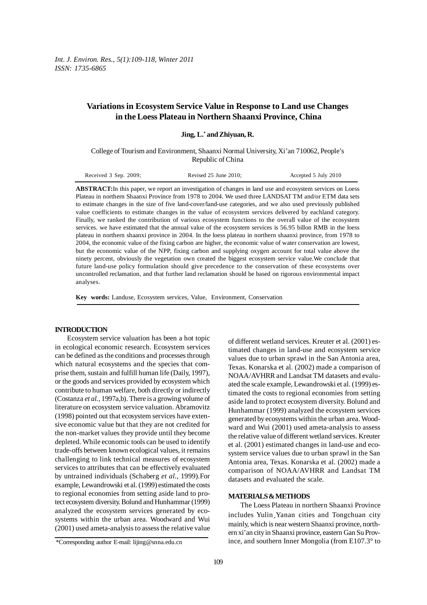*Int. J. Environ. Res., 5(1):109-118, Winter 2011 ISSN: 1735-6865*

# **Variations in Ecosystem Service Value in Response to Land use Changes in the Loess Plateau in Northern Shaanxi Province, China**

| Jing, L.* and Zhiyuan, R. |  |  |  |  |  |
|---------------------------|--|--|--|--|--|
|---------------------------|--|--|--|--|--|

College of Tourism and Environment, Shaanxi Normal University, Xi'an 710062, People's Republic of China

| Received 3 Sep. 2009; | Revised $25$ June $2010$ ; | Accepted 5 July 2010 |
|-----------------------|----------------------------|----------------------|
|                       |                            |                      |

**ABSTRACT:**In this paper, we report an investigation of changes in land use and ecosystem services on Loess Plateau in northern Shaanxi Province from 1978 to 2004. We used three LANDSAT TM and/or ETM data sets to estimate changes in the size of five land-cover/land-use categories, and we also used previously published value coefficients to estimate changes in the value of ecosystem services delivered by eachland category. Finally, we ranked the contribution of various ecosystem functions to the overall value of the ecosystem services. we have estimated that the annual value of the ecosystem services is 56.95 billon RMB in the loess plateau in northern shaanxi province in 2004. In the loess plateau in northern shaanxi province, from 1978 to 2004, the economic value of the fixing carbon are higher, the economic value of water conservation are lowest, but the economic value of the NPP, fixing carbon and supplying oxygen account for total value above the ninety percent, obviously the vegetation own created the biggest ecosystem service value.We conclude that future land-use policy formulation should give precedence to the conservation of these ecosystems over uncontrolled reclamation, and that further land reclamation should be based on rigorous environmental impact analyses.

**Key words:** Landuse, Ecosystem services, Value, Environment, Conservation

#### **INTRODUCTION**

Ecosystem service valuation has been a hot topic in ecological economic research. Ecosystem services can be defined as the conditions and processes through which natural ecosystems and the species that comprise them, sustain and fulfill human life (Daily, 1997), or the goods and services provided by ecosystem which contribute to human welfare, both directly or indirectly (Costanza *et al.,* 1997a,b). There is a growing volume of literature on ecosystem service valuation. Abramovitz (1998) pointed out that ecosystem services have extensive economic value but that they are not credited for the non-market values they provide until they become depleted. While economic tools can be used to identify trade-offs between known ecological values, it remains challenging to link technical measures of ecosystem services to attributes that can be effectively evaluated by untrained individuals (Schaberg *et al.,* 1999).For example, Lewandrowski et al. (1999) estimated the costs to regional economies from setting aside land to protect ecosystem diversity. Bolund and Hunhammar (1999) analyzed the ecosystem services generated by ecosystems within the urban area. Woodward and Wui (2001) used ameta-analysis to assess the relative value

of different wetland services. Kreuter et al. (2001) estimated changes in land-use and ecosystem service values due to urban sprawl in the San Antonia area, Texas. Konarska et al. (2002) made a comparison of NOAA/AVHRR and Landsat TM datasets and evaluated the scale example, Lewandrowski et al. (1999) estimated the costs to regional economies from setting aside land to protect ecosystem diversity. Bolund and Hunhammar (1999) analyzed the ecosystem services generated by ecosystems within the urban area. Woodward and Wui (2001) used ameta-analysis to assess the relative value of different wetland services. Kreuter et al. (2001) estimated changes in land-use and ecosystem service values due to urban sprawl in the San Antonia area, Texas. Konarska et al. (2002) made a comparison of NOAA/AVHRR and Landsat TM datasets and evaluated the scale.

## **MATERIALS & METHODS**

The Loess Plateau in northern Shaanxi Province includes Yulin Yanan cities and Tongchuan city<br>mainly which is near western Shaanxi province northmainly, which is near western Shaanxi province, northern xi'an city in Shaanxi province, eastern Gan Su Province, and southern Inner Mongolia (from E107.3° to

<sup>\*</sup>Corresponding author E-mail: lijing@snna.edu.cn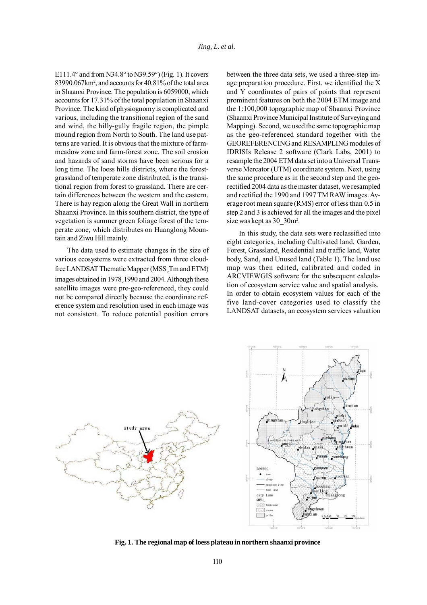E111.4° and from N34.8° to N39.59°) (Fig. 1). It covers 83990.067km2 , and accounts for 40.81% of the total area in Shaanxi Province. The population is 6059000, which accounts for 17.31% of the total population in Shaanxi Province. The kind of physiognomy is complicated and various, including the transitional region of the sand and wind, the hilly-gully fragile region, the pimple mound region from North to South. The land use patterns are varied. It is obvious that the mixture of farmmeadow zone and farm-forest zone. The soil erosion and hazards of sand storms have been serious for a long time. The loess hills districts, where the forestgrassland of temperate zone distributed, is the transitional region from forest to grassland. There are certain differences between the western and the eastern. There is hay region along the Great Wall in northern Shaanxi Province. In this southern district, the type of vegetation is summer green foliage forest of the temperate zone, which distributes on Huanglong Mountain and Ziwu Hill mainly.

The data used to estimate changes in the size of various ecosystems were extracted from three cloudfree LANDSAT Thematic Mapper (MSS, Tm and ETM)<br>images obtained in 1978, 1990 and 2004, Although these images obtained in 1978, 1990 and 2004. Although these<br>satellite images were pre-geo-referenced, they could satellite images were pre-geo-referenced, they could not be compared directly because the coordinate reference system and resolution used in each image was not consistent. To reduce potential position errors

between the three data sets, we used a three-step image preparation procedure. First, we identified the X and Y coordinates of pairs of points that represent prominent features on both the 2004 ETM image and the 1:100,000 topographic map of Shaanxi Province (Shaanxi Province Municipal Institute of Surveying and Mapping). Second, we used the same topographic map as the geo-referenced standard together with the GEOREFERENCING and RESAMPLING modules of IDRISIs Release 2 software (Clark Labs, 2001) to resample the 2004 ETM data set into a Universal Transverse Mercator (UTM) coordinate system. Next, using the same procedure as in the second step and the georectified 2004 data as the master dataset, we resampled and rectified the 1990 and 1997 TM RAW images. Average root mean square (RMS) error of less than 0.5 in step 2 and 3 is achieved for all the images and the pixel size was kept as  $30\text{--}30\text{m}^2$ .

In this study, the data sets were reclassified into eight categories, including Cultivated land, Garden, Forest, Grassland, Residential and traffic land, Water body, Sand, and Unused land (Table 1). The land use map was then edited, calibrated and coded in ARCVIEWGIS software for the subsequent calculation of ecosystem service value and spatial analysis. In order to obtain ecosystem values for each of the five land-cover categories used to classify the LANDSAT datasets, an ecosystem services valuation



**Fig. 1. The regional map of loess plateau in northern shaanxi province**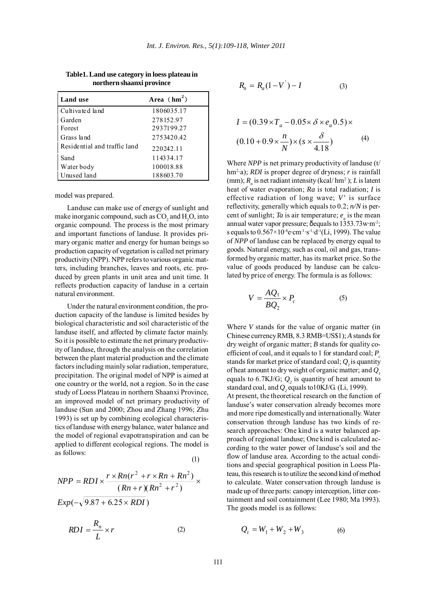| Land use                     | Area $(hm^2)$ |
|------------------------------|---------------|
| Cultivated land              | 1806035.17    |
| Garden                       | 278152.97     |
| Forest                       | 2937199.27    |
| Grass land                   | 2753420.42    |
| Residential and traffic land | 220242.11     |
| Sand                         | 114334.17     |
| Water body                   | 100018.88     |
| Unused land                  | 188603.70     |

**Table1. Land use category in loess plateau in northern shaanxi province**

model was prepared.

Landuse can make use of energy of sunlight and make inorganic compound, such as  $CO_2$  and  $H_2O$ , into organic compound. The process is the most primary and important functions of landuse. It provides primary organic matter and energy for human beings so production capacity of vegetation is called net primary productivity (NPP). NPP refers to various organic matters, including branches, leaves and roots, etc. produced by green plants in unit area and unit time. It reflects production capacity of landuse in a certain natural environment.

Under the natural environment condition, the production capacity of the landuse is limited besides by biological characteristic and soil characteristic of the landuse itself, and affected by climate factor mainly. So it is possible to estimate the net primary productivity of landuse, through the analysis on the correlation between the plant material production and the climate factors including mainly solar radiation, temperature, precipitation. The original model of NPP is aimed at one country or the world, not a region. So in the case study of Loess Plateau in northern Shaanxi Province, an improved model of net primary productivity of landuse (Sun and 2000; Zhou and Zhang 1996; Zhu 1993) is set up by combining ecological characteristics of landuse with energy balance, water balance and the model of regional evapotranspiration and can be applied to different ecological regions. The model is as follows: (1)

$$
NPP = RDI \times \frac{r \times Rn(r^2 + r \times Rn + Rn^2)}{(Rn + r)(Rn^2 + r^2)} \times
$$
  
 
$$
Exp(-\sqrt{9.87 + 6.25 \times RDI})
$$

$$
RDI = \frac{R_n}{L} \times r \tag{2}
$$

$$
R_n = R_a (1 - V^{'}) - I \tag{3}
$$

$$
I = (0.39 \times T_a - 0.05 \times \delta \times e_a 0.5) \times
$$
  
(0.10 + 0.9 ×  $\frac{n}{N}$ ) × (s ×  $\frac{\delta}{4.18}$ ) (4)

Where *NPP* is net primary productivity of landuse (t/ hm<sup>2</sup>·a); *RDI* is proper degree of dryness; *r* is rainfall (mm);  $R_n$  is net radiant intensity (kcal/hm<sup>2</sup>); *L* is latent heat of water evaporation; *Ra* is total radiation; *I* is effective radiation of long wave; *V'* is surface reflectivity, generally which equals to 0.2; *n/N* is percent of sunlight; *Ta* is air temperature;  $e_a$  is the mean annual water vapor pressure; δequals to 1353.73w·m-2; s equals to  $0.567 \times 10^{-4}$ e·cm<sup>-1</sup>·s<sup>-1</sup>·d<sup>-1</sup>(Li, 1999). The value of *NPP* of landuse can be replaced by energy equal to goods. Natural energy, such as coal, oil and gas, transformed by organic matter, has its market price. So the value of goods produced by landuse can be calculated by price of energy. The formula is as follows:

$$
V = \frac{AQ_1}{BQ_2} \times P_c \tag{5}
$$

Where *V* stands for the value of organic matter (in Chinese currency RMB, 8.3 RMB=US\$1); *A* stands for dry weight of organic matter; *B* stands for quality coefficient of coal, and it equals to 1 for standard coal; *P<sub>c</sub>* stands for market price of standard coal;  $Q<sub>i</sub>$  is quantity of heat amount to dry weight of organic matter; and *Q1* equals to 6.7KJ/G;  $Q_2$  is quantity of heat amount to standard coal, and  $Q_2$  equals to  $10$ KJ/G (Li, 1999).

At present, the theoretical research on the function of landuse's water conservation already becomes more and more ripe domestically and internationally. Water conservation through landuse has two kinds of research approaches: One kind is a water balanced approach of regional landuse; One kind is calculated according to the water power of landuse's soil and the flow of landuse area. According to the actual conditions and special geographical position in Loess Plateau, this research is to utilize the second kind of method to calculate. Water conservation through landuse is made up of three parts: canopy interception, litter containment and soil containment (Lee 1980; Ma 1993). The goods model is as follows:

$$
Q_t = W_1 + W_2 + W_3 \tag{6}
$$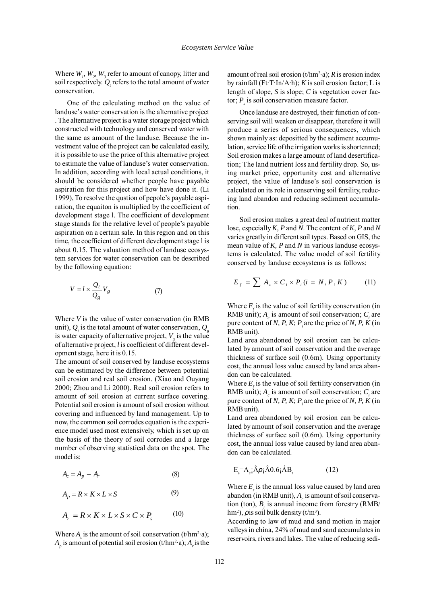Where  $W_p$ ,  $W_2$ ,  $W_3$  refer to amount of canopy, litter and soil respectively.  $Q_{\iota}$  refers to the total amount of water conservation.

One of the calculating method on the value of landuse's water conservation is the alternative project . The alternative project is a water storage project which constructed with technology and conserved water with the same as amount of the landuse. Because the investment value of the project can be calculated easily, it is possible to use the price of this alternative project to estimate the value of landuse's water conservation. In addition, according with local actual conditions, it should be considered whether people have payable aspiration for this project and how have done it. (Li 1999), To resolve the qustion of pepole's payable aspiration, the equaiton is multiplied by the coefficient of development stage l. The coefficient of development stage stands for the relative level of people's payable aspiration on a certain sale. In this region and on this time, the coefficient of different development stage l is about 0.15. The valuation method of landuse ecosystem services for water conservation can be described by the following equation:

$$
V = l \times \frac{Q_t}{Q_g} V_g \tag{7}
$$

Where *V* is the value of water conservation (in RMB unit),  $Q_i$  is the total amount of water conservation,  $Q_g$ is water capacity of alternative project,  $V_{g}$  is the value of alternative project, *l* is coefficient of different development stage, here it is 0.15.

The amount of soil conserved by landuse ecosystems can be estimated by the difference between potential soil erosion and real soil erosion. (Xiao and Ouyang 2000; Zhou and Li 2000). Real soil erosion refers to amount of soil erosion at current surface covering. Potential soil erosion is amount of soil erosion without covering and influenced by land management. Up to now, the common soil corrodes equation is the experience model used most extensively, which is set up on the basis of the theory of soil corrodes and a large number of observing statistical data on the spot. The model is:

$$
A_c = A_p - A_r \tag{8}
$$

$$
A_p = R \times K \times L \times S \tag{9}
$$

$$
A_r = R \times K \times L \times S \times C \times P_s \tag{10}
$$

Where  $A_c$  is the amount of soil conservation (t/hm<sup>2</sup>·a);  $A_p$  is amount of potential soil erosion (t/hm<sup>2</sup>·a);  $A_r$  is the

amount of real soil erosion  $(t/hm^2 \cdot a)$ ; *R* is erosion index by rainfall (Ft·T·In/A·h); *K* is soil erosion factor; L is length of slope, *S* is slope; *C* is vegetation cover factor;  $P_s$  is soil conservation measure factor.

Once landuse are destroyed, their function of conserving soil will weaken or disappear, therefore it will produce a series of serious consequences, which shown mainly as: depositted by the sediment accumulation, service life of the irrigation works is shortenned; Soil erosion makes a large amount of land desertification; The land nutrient loss and fertility drop. So, using market price, opportunity cost and alternative project, the value of landuse's soil conservation is calculated on its role in conserving soil fertility, reducing land abandon and reducing sediment accumulation.

Soil erosion makes a great deal of nutrient matter lose, especially *K, P* and *N*. The content of *K, P* and *N* varies greatly in different soil types. Based on GIS, the mean value of *K, P* and *N* in various landuse ecosystems is calculated. The value model of soil fertility conserved by landuse ecosystems is as follows:

$$
E_f = \sum A_c \times C_i \times P_i (i = N, P, K) \tag{11}
$$

Where  $E<sub>i</sub>$  is the value of soil fertility conservation (in RMB unit);  $A_c$  is amount of soil conservation;  $C_i$  are pure content of *N, P, K; P<sub>i</sub>* are the price of *N, P, K* (in RMB unit).

Land area abandoned by soil erosion can be calculated by amount of soil conservation and the average thickness of surface soil (0.6m). Using opportunity cost, the annual loss value caused by land area abandon can be calculated.

Where  $E<sub>i</sub>$  is the value of soil fertility conservation (in RMB unit);  $A_c$  is amount of soil conservation;  $C_i$  are pure content of *N, P, K; P* are the price of *N, P, K* (in RMB unit).

Land area abandoned by soil erosion can be calculated by amount of soil conservation and the average thickness of surface soil (0.6m). Using opportunity cost, the annual loss value caused by land area abandon can be calculated.

$$
E_s = A_c \hat{A} \rho_i \hat{A} 0.6 \hat{A} B_r
$$
 (12)

Where  $E<sub>s</sub>$  is the annual loss value caused by land area abandon (in RMB unit),  $A<sub>c</sub>$  is amount of soil conservation (ton),  $B_r$  is annual income from forestry (RMB/ hm<sup>2</sup>),  $\rho$  is soil bulk density (t/m<sup>3</sup>).

According to law of mud and sand motion in major valleys in china, 24% of mud and sand accumulates in reservoirs, rivers and lakes. The value of reducing sedi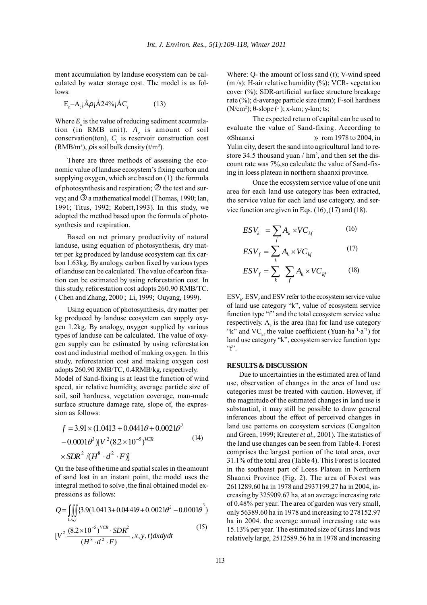ment accumulation by landuse ecosystem can be calculated by water storage cost. The model is as follows:

$$
E_n = A_c \hat{A} \rho_i \hat{A} 24\% \hat{A} C_r \tag{13}
$$

Where  $E_{n}$  is the value of reducing sediment accumulation (in RMB unit), A<sub>c</sub> is amount of soil conservation(ton),  $C_r$  is reservoir construction cost  $(RMB/m<sup>3</sup>)$ ,  $\rho$  is soil bulk density (t/m<sup>3</sup>).

There are three methods of assessing the economic value of landuse ecosystem's fixing carbon and supplying oxygen, which are based on (1) the formula of photosynthesis and respiration;  $\circled{2}$  the test and survey; and  $\Im$  a mathematical model (Thomas, 1990; Ian, 1991; Titus, 1992; Robert,1993). In this study, we adopted the method based upon the formula of photosynthesis and respiration.

Based on net primary productivity of natural landuse, using equation of photosynthesis, dry matter per kg produced by landuse ecosystem can fix carbon 1.63kg. By analogy, carbon fixed by various types of landuse can be calculated. The value of carbon fixation can be estimated by using reforestation cost. In this study, reforestation cost adopts 260.90 RMB/TC. ( Chen and Zhang, 2000 ; Li, 1999; Ouyang, 1999).

Using equation of photosynthesis, dry matter per kg produced by landuse ecosystem can supply oxygen 1.2kg. By analogy, oxygen supplied by various types of landuse can be calculated. The value of oxygen supply can be estimated by using reforestation cost and industrial method of making oxygen. In this study, reforestation cost and making oxygen cost adopts 260.90 RMB/TC, 0.4RMB/kg, respectively. Model of Sand-fixing is at least the function of wind speed, air relative humidity, average particle size of soil, soil hardness, vegetation coverage, man-made surface structure damage rate, slope of, the expression as follows:

$$
f = 3.91 \times (1.0413 + 0.0441\theta + 0.0021\theta^2 - 0.0001\theta^3)[V^2(8.2 \times 10^{-5})^{VCR} \times SDR^2 / (H^8 \cdot d^2 \cdot F)]
$$
\n(14)

Qn the base of the time and spatial scales in the amount of sand lost in an instant point, the model uses the integral method to solve ,the final obtained model expressions as follows:

$$
Q = \iiint\limits_{t,x,y} \{3.9(1.0413 + 0.0444\theta + 0.0021\theta^2 - 0.0001\theta^3)\}
$$

$$
[V^2 \frac{(8.2 \times 10^{-5})^{VCR} \cdot SDR^2}{(H^8 \cdot d^2 \cdot F)}, x, y, t\} dx dy dt
$$
\n(15)

Where: Q- the amount of loss sand (t); V-wind speed  $(m/s)$ ; H-air relative humidity  $(\%)$ ; VCR- vegetation cover (%); SDR-artificial surface structure breakage rate (%); d-average particle size (mm); F-soil hardness (N/cm<sup>2</sup>); θ-slope ( $\circ$ ); x-km; y-km; ts;

The expected return of capital can be used to evaluate the value of Sand-fixing. According to  $\sqrt{\frac{S}}$  (Shaanxi  $\sqrt{\frac{S}}$ ) from 1978 to 2004, in Yulin city, desert the sand into agricultural land to restore 34.5 thousand yuan / hm<sup>2</sup>, and then set the discount rate was 7%,so calculate the value of Sand-fixing in loess plateau in northern shaanxi province.

Once the ecosystem service value of one unit area for each land use category has been extracted, the service value for each land use category, and service function are given in Eqs.  $(16)$ ,  $(17)$  and  $(18)$ .

$$
ESV_k = \sum_{f} A_k \times VC_{kf} \tag{16}
$$

$$
ESV_f = \sum_k A_k \times VC_{kf} \tag{17}
$$

$$
ESV_f = \sum_{k} \sum_{f} A_k \times VC_{kf} \tag{18}
$$

 $\mathrm{ESV}_{k}$ ,  $\mathrm{ESV}_{f}$  and  $\mathrm{ESV}$  refer to the ecosystem service value of land use category "k", value of ecosystem service function type "f" and the total ecosystem service value respectively.  $A_k$  is the area (ha) for land use category "k" and VC<sub>kf</sub> the value coefficient (Yuan·ha<sup>"1</sup>·a<sup>"1</sup>) for land use category "k", ecosystem service function type  $"f$ 

#### **RESULTS & DISCUSSION**

Due to uncertainties in the estimated area of land use, observation of changes in the area of land use categories must be treated with caution. However, if the magnitude of the estimated changes in land use is substantial, it may still be possible to draw general inferences about the effect of perceived changes in land use patterns on ecosystem services (Congalton and Green, 1999; Kreuter *et al.,* 2001). The statistics of the land use changes can be seen from Table 4. Forest comprises the largest portion of the total area, over 31.1% of the total area (Table 4). This Forest is located in the southeast part of Loess Plateau in Northern Shaanxi Province (Fig. 2). The area of Forest was 2611289.60 ha in 1978 and 2937199.27 ha in 2004, increasing by 325909.67 ha, at an average increasing rate of 0.48% per year. The area of garden was very small, only 56389.60 ha in 1978 and increasing to 278152.97 ha in 2004. the average annual increasing rate was 15.13% per year. The estimated size of Grass land was relatively large, 2512589.56 ha in 1978 and increasing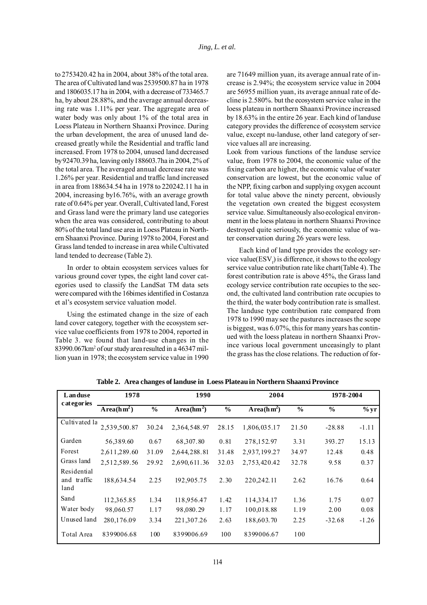to 2753420.42 ha in 2004, about 38% of the total area. The area of Cultivated land was 2539500.87 ha in 1978 and 1806035.17 ha in 2004, with a decrease of 733465.7 ha, by about 28.88%, and the average annual decreasing rate was 1.11% per year. The aggregate area of water body was only about 1% of the total area in Loess Plateau in Northern Shaanxi Province. During the urban development, the area of unused land decreased greatly while the Residential and traffic land increased. From 1978 to 2004, unused land decreased by 92470.39 ha, leaving only 188603.7ha in 2004, 2% of the total area. The averaged annual decrease rate was 1.26% per year. Residential and traffic land increased in area from 188634.54 ha in 1978 to 220242.11 ha in 2004, increasing by16.76%, with an average growth rate of 0.64% per year. Overall, Cultivated land, Forest and Grass land were the primary land use categories when the area was considered, contributing to about 80% of the total land use area in Loess Plateau in Northern Shaanxi Province. During 1978 to 2004, Forest and Grass land tended to increase in area while Cultivated land tended to decrease (Table 2).

In order to obtain ecosystem services values for various ground cover types, the eight land cover categories used to classify the LandSat TM data sets were compared with the 16bimes identified in Costanza et al's ecosystem service valuation model.

Using the estimated change in the size of each land cover category, together with the ecosystem service value coefficients from 1978 to 2004, reported in Table 3. we found that land-use changes in the 83990.067km2 of our study area resulted in a 46347 million yuan in 1978; the ecosystem service value in 1990 are 71649 million yuan, its average annual rate of increase is 2.94%; the ecosystem service value in 2004 are 56955 million yuan, its average annual rate of decline is 2.580%. but the ecosystem service value in the loess plateau in northern Shaanxi Province increased by 18.63% in the entire 26 year. Each kind of landuse category provides the difference of ecosystem service value, except nu-landuse, other land category of service values all are increasing.

Look from various functions of the landuse service value, from 1978 to 2004, the economic value of the fixing carbon are higher, the economic value of water conservation are lowest, but the economic value of the NPP, fixing carbon and supplying oxygen account for total value above the ninety percent, obviously the vegetation own created the biggest ecosystem service value. Simultaneously also ecological environment in the loess plateau in northern Shaanxi Province destroyed quite seriously, the economic value of water conservation during 26 years were less.

Each kind of land type provides the ecology service value( $\mathrm{ESV}_f$ ) is difference, it shows to the ecology service value contribution rate like chart(Table 4). The forest contribution rate is above 45%, the Grass land ecology service contribution rate occupies to the second, the cultivated land contribution rate occupies to the third, the water body contribution rate is smallest. The landuse type contribution rate compared from 1978 to 1990 may see the pastures increases the scope is biggest, was 6.07%, this for many years has continued with the loess plateau in northern Shaanxi Province various local government unceasingly to plant the grass has the close relations. The reduction of for-

| Landuse                            | 1978         |               | 1990                   |               | 2004         |               | 1978-2004     |         |
|------------------------------------|--------------|---------------|------------------------|---------------|--------------|---------------|---------------|---------|
| c at egor ies                      | $Area(hm^2)$ | $\frac{6}{6}$ | Area(hm <sup>2</sup> ) | $\frac{0}{0}$ | $Area(hm^2)$ | $\frac{0}{0}$ | $\frac{6}{6}$ | $\%$ yr |
| Cultivated la                      | 2,539,500.87 | 30.24         | 2,364,548.97           | 28.15         | 1,806,035.17 | 21.50         | $-28.88$      | $-1.11$ |
| Garden                             | 56,389.60    | 0.67          | 68,307.80              | 0.81          | 278,152.97   | 3.31          | 393.27        | 15.13   |
| Forest                             | 2,611,289.60 | 31.09         | 2,644,288.81           | 31.48         | 2,937,199.27 | 34.97         | 12.48         | 0.48    |
| Grass land                         | 2,512,589.56 | 29.92         | 2,690,611.36           | 32.03         | 2,753,420.42 | 32.78         | 9.58          | 0.37    |
| Residential<br>and traffic<br>land | 188,634.54   | 2.25          | 192,905.75             | 2.30          | 220,242.11   | 2.62          | 16.76         | 0.64    |
| Sand                               | 112,365.85   | 1.34          | 118,956.47             | 1.42          | 114,334.17   | 1.36          | 1.75          | 0.07    |
| Water body                         | 98,060.57    | 1.17          | 98,080.29              | 1.17          | 100,018.88   | 1.19          | 2.00          | 0.08    |
| Unused land                        | 280,176.09   | 3.34          | 221,307.26             | 2.63          | 188,603.70   | 2.25          | $-32.68$      | $-1.26$ |
| Total Area                         | 8399006.68   | 100           | 8399006.69             | 100           | 8399006.67   | 100           |               |         |

**Table 2. Area changes of landuse in Loess Plateau in Northern Shaanxi Province**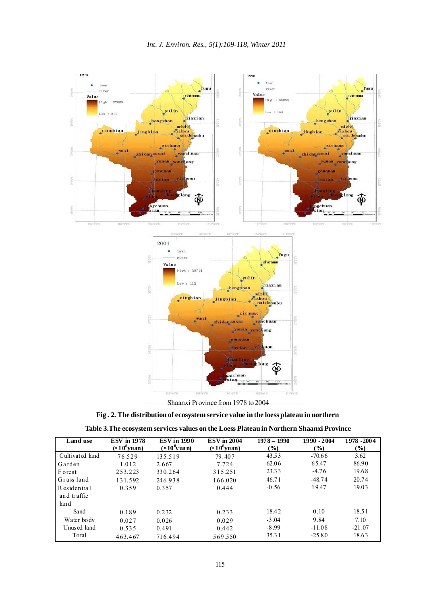

Shaanxi Province from 1978 to 2004

| Fig. 2. The distribution of ecosystem service value in the loess plateau in northern |  |
|--------------------------------------------------------------------------------------|--|
|                                                                                      |  |

| Land use                    | <b>ESV</b> in 1978<br>$(\times 10^8$ yuan) | <b>ESV</b> in 1990<br>$(\times 10^8$ vuan) | <b>ESV</b> in 2004<br>$(x108$ yuan) | $1978 - 1990$<br>$\left( \frac{9}{0} \right)$ | 1990 - 2004<br>$\left( \frac{0}{0} \right)$ | 1978 - 2004<br>(%) |
|-----------------------------|--------------------------------------------|--------------------------------------------|-------------------------------------|-----------------------------------------------|---------------------------------------------|--------------------|
| Cultivated land             | 76.529                                     | 135.519                                    | 79.407                              | 43.53                                         | $-70.66$                                    | 3.62               |
| Garden                      | 1.012                                      | 2.667                                      | 7.724                               | 62.06                                         | 65.47                                       | 86.90              |
| Forest                      | 253.223                                    | 330.264                                    | 315.251                             | 23.33                                         | $-4.76$                                     | 19.68              |
| Grass land                  | 131.592                                    | 246.938                                    | 166.020                             | 46.71                                         | $-48.74$                                    | 20.74              |
| R esidential<br>and traffic | 0.359                                      | 0.357                                      | 0.444                               | $-0.56$                                       | 19.47                                       | 19.03              |
| land                        |                                            |                                            |                                     |                                               |                                             |                    |
| Sand                        | 0.189                                      | 0.232                                      | 0.233                               | 18.42                                         | 0.10                                        | 18.51              |
| Water body                  | 0.027                                      | 0.026                                      | 0.029                               | $-3.04$                                       | 9.84                                        | 7.10               |
| Unused land                 | 0.535                                      | 0.491                                      | 0.442                               | $-8.99$                                       | $-11.08$                                    | $-21.07$           |
| Total                       | 463.467                                    | 716.494                                    | 569.550                             | 35.31                                         | $-25.80$                                    | 18.63              |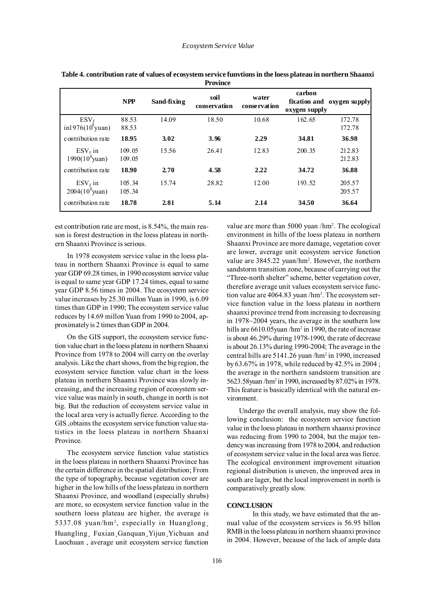|                                   |                  |             | <b>F</b> rovince     |                       |                                         |                  |
|-----------------------------------|------------------|-------------|----------------------|-----------------------|-----------------------------------------|------------------|
|                                   | <b>NPP</b>       | Sand-fixing | soil<br>conservation | water<br>conservation | carbon<br>fixation and<br>oxygen supply | oxygen supply    |
| $ESV_f$<br>$in 1976(10^{8}$ yuan) | 88.53<br>88.53   | 14.09       | 18.50                | 10.68                 | 162.65                                  | 172.78<br>172.78 |
| contribution rate                 | 18.95            | 3.02        | 3.96                 | 2.29                  | 34.81                                   | 36.98            |
| $ESV_f$ in<br>$1990(10^8$ yuan)   | 109.05<br>109.05 | 15.56       | 26.41                | 12.83                 | 200.35                                  | 212.83<br>212.83 |
| contribution rate                 | 18.90            | 2.70        | 4.58                 | 2.22                  | 34.72                                   | 36.88            |
| $ESV_f$ in<br>$2004(10^8$ yuan)   | 105.34<br>105.34 | 15.74       | 28.82                | 12.00                 | 193.52                                  | 205.57<br>205.57 |
| contribution rate                 | 18.78            | 2.81        | 5.14                 | 2.14                  | 34.50                                   | 36.64            |

**Table 4. contribution rate of values of ecosystem service funvtions in the loess plateau in northern Shaanxi Province**

est contribution rate are most, is 8.54%, the main reason is forest destruction in the loess plateau in northern Shaanxi Province is serious.

In 1978 ecosystem service value in the loess plateau in northern Shaanxi Province is equal to same year GDP 69.28 times, in 1990 ecosystem service value is equal to same year GDP 17.24 times, equal to same year GDP 8.56 times in 2004. The ecosystem service value increases by 25.30 millon Yuan in 1990, is 6.09 times than GDP in 1990; The ecosystem service value reduces by 14.69 millon Yuan from 1990 to 2004, approximately is 2 times than GDP in 2004.

On the GIS support, the ecosystem service function value chart in the loess plateau in northern Shaanxi Province from 1978 to 2004 will carry on the overlay analysis. Like the chart shows, from the big region, the ecosystem service function value chart in the loess plateau in northern Shaanxi Province was slowly increasing, and the increasing region of ecosystem service value was mainly in south, change in north is not big. But the reduction of ecosystem service value in the local area very is actually fierce. According to the GIS ,obtains the ecosystem service function value statistics in the loess plateau in northern Shaanxi Province.

The ecosystem service function value statistics in the loess plateau in northern Shaanxi Province has the certain difference in the spatial distribution; From the type of topography, because vegetation cover are higher in the low hills of the loess plateau in northern Shaanxi Province, and woodland (especially shrubs) are more, so ecosystem service function value in the southern loess plateau are higher, the average is 5337.08 yuan/hm<sup>2</sup>, especially in Huanglong,<br>Huangling, Fuxian, Ganquan, Yijun, Yichuan and<br>Luochuan, average unit ecosystem service function Luochuan , average unit ecosystem service function

value are more than 5000 yuan /hm<sup>2</sup>. The ecological environment in hills of the loess plateau in northern Shaanxi Province are more damage, vegetation cover are lower, average unit ecosystem service function value are 3845.22 yuan/hm<sup>2</sup>. However, the northern sandstorm transition zone, because of carrying out the "Three-north shelter" scheme, better vegetation cover, therefore average unit values ecosystem service function value are 4064.83 yuan /hm<sup>2</sup>. The ecosystem service function value in the loess plateau in northern shaanxi province trend from increasing to decreasing in 1978~2004 years, the average in the southern low hills are 6610.05 yuan /hm<sup>2</sup> in 1990, the rate of increase is about 46.29% during 1978-1990, the rate of decrease is about 26.13% during 1990-2004; The average in the central hills are 5141.26 yuan /hm2 in 1990, increased by 63.67% in 1978, while reduced by 42.5% in 2004 ; the average in the northern sandstorm transition are 5623.58yuan /hm2 in 1990, increased by 87.02% in 1978. This feature is basically identical with the natural environment.

Undergo the overall analysis, may show the following conclusion: the ecosystem service function value in the loess plateau in northern shaanxi province was reducing from 1990 to 2004, but the major tendency was increasing from 1978 to 2004, and reduction of ecosystem service value in the local area was fierce. The ecological environment improvement situation regional distribution is uneven, the improved area in south are lager, but the local improvement in north is comparatively greatly slow.

### **CONCLUSION**

In this study, we have estimated that the annual value of the ecosystem services is 56.95 billon RMB in the loess plateau in northern shaanxi province in 2004. However, because of the lack of ample data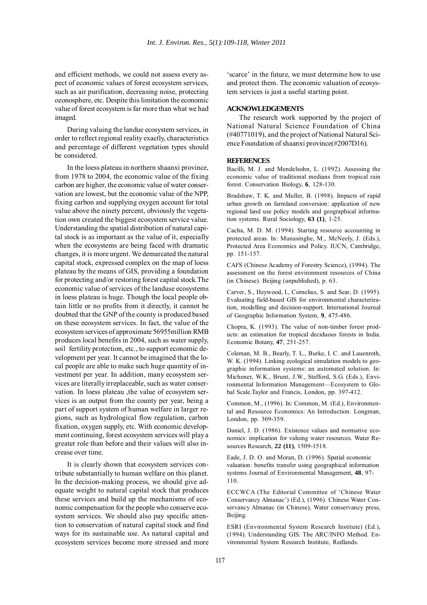and efficient methods, we could not assess every aspect of economic values of forest ecosystem services, such as air purification, decreasing noise, protecting ozonosphere, etc. Despite this limitation the economic value of forest ecosystem is far more than what we had imaged.

During valuing the landue ecosystem services, in order to reflect regional reality exactly, characteristics and percentage of different vegetation types should be considered.

In the loess plateau in northern shaanxi province, from 1978 to 2004, the economic value of the fixing carbon are higher, the economic value of water conservation are lowest, but the economic value of the NPP, fixing carbon and supplying oxygen account for total value above the ninety percent, obviously the vegetation own created the biggest ecosystem service value. Understanding the spatial distribution of natural capital stock is as important as the value of it, especially when the ecosystems are being faced with dramatic changes, it is more urgent. We demarcated the natural capital stock, expressed complex on the map of loess plateau by the means of GIS, providing a foundation for protecting and/or restoring forest capital stock.The economic value of services of the landuse ecosystems in loess plateau is huge. Though the local people obtain little or no profits from it directly, it cannot be doubted that the GNP of the county is produced based on these ecosystem services. In fact, the value of the ecosystem services of approximate 56955million RMB produces local benefits in 2004, such as water supply, soil fertility protection, etc., to support economic development per year. It cannot be imagined that the local people are able to make such huge quantity of investment per year. In addition, many ecosystem services are literally irreplaceable, such as water conservation. In loess plateau ,the value of ecosystem services is an output from the county per year, being a part of support system of human welfare in larger regions, such as hydrological flow regulation, carbon fixation, oxygen supply, etc. With economic development continuing, forest ecosystem services will play a greater role than before and their values will also increase over time.

It is clearly shown that ecosystem services contribute substantially to human welfare on this planet. In the decision-making process, we should give adequate weight to natural capital stock that produces these services and build up the mechanisms of economic compensation for the people who conserve ecosystem services. We should also pay specific attention to conservation of natural capital stock and find ways for its sustainable use. As natural capital and ecosystem services become more stressed and more

'scarce' in the future, we must determine how to use and protect them. The economic valuation of ecosystem services is just a useful starting point.

#### **ACKNOWLEDGEMENTS**

The research work supported by the project of National Natural Science Foundation of China (#40771019), and the project of National Natural Science Foundation of shaanxi province(#2007D16).

#### **REFERENCES**

Bacilli, M. J. and Mendelsohn, L. (1992). Assessing the economic value of traditional medians from tropical rain forest. Conservation Biology, **6**, 128-130.

Bradshaw, T. K. and Muller, B. (1998). Impacts of rapid urban growth on farmland conversion: application of new regional land use policy models and geographical information systems. Rural Sociology, **63 (1)**, 1-25.

Cacha, M. D. M. (1994). Starting resource accounting in protected areas. In: Munasinghe, M., McNeely, J. (Eds.), Protected Area Economics and Policy. IUCN, Cambridge, pp. 151-157.

CAFS (Chinese Academy of Forestry Science), (1994). The assessment on the forest environment resources of China (in Chinese). Beijing (unpublished), p. 63.

Carver, S., Heywood, I., Cornelius, S. and Sear, D. (1995). Evaluating field-based GIS for environmental characterization, modelling and decision-support. International Journal of Geographic Information System, **9**, 475-486.

Chopra, K. (1993). The value of non-timber forest products: an estimation for tropical deciduous forests in India. Economic Botany, **47**, 251-257.

Coleman, M. B., Bearly, T. L., Burke, I. C. and Lauenroth, W. K. (1994). Linking ecological simulation models to geographic information systems: an automated solution. In: Michener, W.K., Brunt, J.W., Stafford, S.G. (Eds.), Environmental Information Management—Ecosystem to Global Scale.Taylor and Francis, London, pp. 397-412.

Common, M., (1996). In: Common, M. (Ed.), Environmental and Resource Economics: An Introduction. Longman, London, pp. 309-359.

Daniel, J. D. (1986). Existence values and normative economics: implication for valuing water resources. Water Resources Research, **22 (11)**, 1509-1518.

Eade, J. D. O. and Moran, D. (1996). Spatial economic valuation: benefits transfer using geographical information systems Journal of Environmental Management, **48**, 97- 110.

ECCWCA (The Editorial Committee of 'Chinese Water Conservancy Almanac') (Ed.), (1996). Chinese Water Conservancy Almanac (in Chinese), Water conservancy press, Beijing.

ESRI (Environmental System Research Institute) (Ed.), (1994). Understanding GIS: The ARC/INFO Method. Environmental System Research Institute, Redlands.